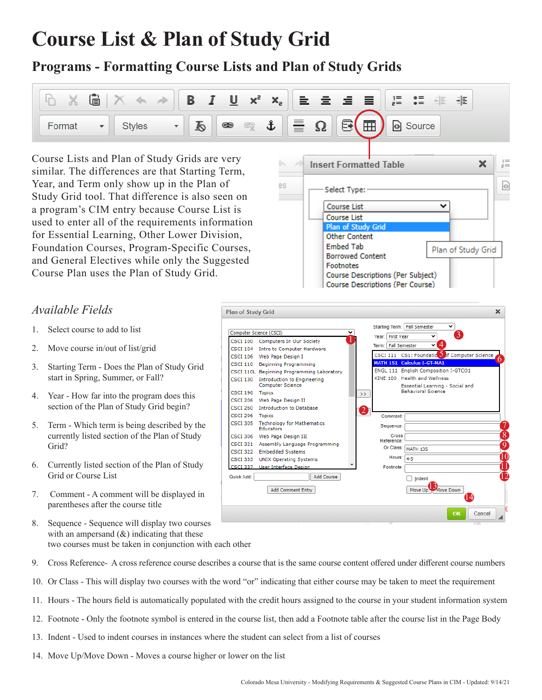# **Course List & Plan of Study Grid**

## **Programs - Formatting Course Lists and Plan of Study Grids**



es

Course Lists and Plan of Study Grids are very similar. The differences are that Starting Term, Year, and Term only show up in the Plan of Study Grid tool. That difference is also seen on a program's CIM entry because Course List is used to enter all of the requirements information for Essential Learning, Other Lower Division, Foundation Courses, Program-Specific Courses, and General Electives while only the Suggested Course Plan uses the Plan of Study Grid.

### *Available Fields*

- 1. Select course to add to list
- 2. Move course in/out of list/grid
- 3. Starting Term Does the Plan of Study Grid start in Spring, Summer, or Fall?
- 4. Year How far into the program does this section of the Plan of Study Grid begin?
- 5. Term Which term is being described by the currently listed section of the Plan of Study Grid?
- 6. Currently listed section of the Plan of Study Grid or Course List
- 7. Comment A comment will be displayed in parentheses after the course title
- 8. Sequence Sequence will display two courses with an ampersand  $(x)$  indicating that these two courses must be taken in conjunction with each other
- 9. Cross Reference- A cross reference course describes a course that is the same course content offered under different course numbers
- 10. Or Class This will display two courses with the word "or" indicating that either course may be taken to meet the requirement
- 11. Hours The hours field is automatically populated with the credit hours assigned to the course in your student information system
- 12. Footnote Only the footnote symbol is entered in the course list, then add a Footnote table after the course list in the Page Body
- 13. Indent Used to indent courses in instances where the student can select from a list of courses
- 14. Move Up/Move Down Moves a course higher or lower on the list



**Insert Formatted Table** 

Select Type: Course List

**Course List** Plan of Study Grid **Other Content Embed Tab** 

**Borrowed Content** Footnotes

Course Descriptions (Per Subject) **Course Descriptions (Per Course)** 

×

╰

Plan of Study Grid

 $\Leftrightarrow$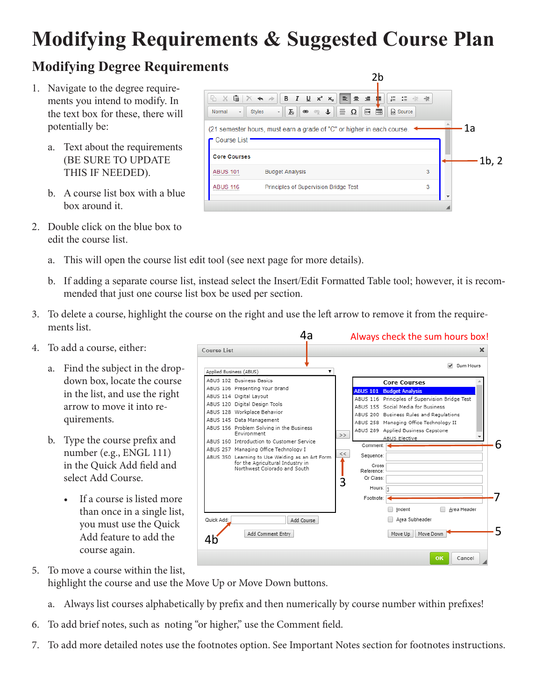# **Modifying Requirements & Suggested Course Plan**

# **Modifying Degree Requirements**

- 1. Navigate to the degree requirements you intend to modify. In the text box for these, there will potentially be:
	- a. Text about the requirements (BE SURE TO UPDATE THIS IF NEEDED).
	- b. A course list box with a blue box around it.
- 2. Double click on the blue box to edit the course list.
- $5x$  $\begin{array}{cc} 1 \equiv & 0 \equiv & -1 \equiv \\ 0 \equiv & 0 \equiv \end{array}$ €| Normal  $\bullet$  Styles  $\begin{array}{c} \mathbf{A} \setminus \mathbf{A} \setminus \mathbf{B} \setminus \mathbf{B} \setminus \mathbf{B} \setminus \mathbf{B} \setminus \mathbf{B} \setminus \mathbf{B} \setminus \mathbf{B} \setminus \mathbf{B} \setminus \mathbf{B} \setminus \mathbf{B} \setminus \mathbf{B} \setminus \mathbf{B} \setminus \mathbf{B} \setminus \mathbf{B} \setminus \mathbf{B} \setminus \mathbf{B} \setminus \mathbf{B} \setminus \mathbf{B} \setminus \mathbf{B} \setminus \mathbf{B} \setminus \mathbf{B} \setminus \mathbf{B}$ 1a (21 semester hours, must earn a grade of "C" or higher in each course. **Course List Core Courses ABUS 101 Budget Analysis** 3 Principles of Supervision Bridge Test 3 **ABUS 116**

2b

1b, 2

- a. This will open the course list edit tool (see next page for more details).
- b. If adding a separate course list, instead select the Insert/Edit Formatted Table tool; however, it is recommended that just one course list box be used per section.
- 3. To delete a course, highlight the course on the right and use the left arrow to remove it from the requirements list.
- 4. To add a course, either:
	- a. Find the subject in the dropdown box, locate the course in the list, and use the right arrow to move it into requirements.
	- b. Type the course prefix and number (e.g., ENGL 111) in the Quick Add field and select Add Course.
		- If a course is listed more than once in a single list, you must use the Quick Add feature to add the course again.



- 5. To move a course within the list, highlight the course and use the Move Up or Move Down buttons.
	- a. Always list courses alphabetically by prefix and then numerically by course number within prefixes!
- 6. To add brief notes, such as noting "or higher," use the Comment field.
- 7. To add more detailed notes use the footnotes option. See Important Notes section for footnotes instructions.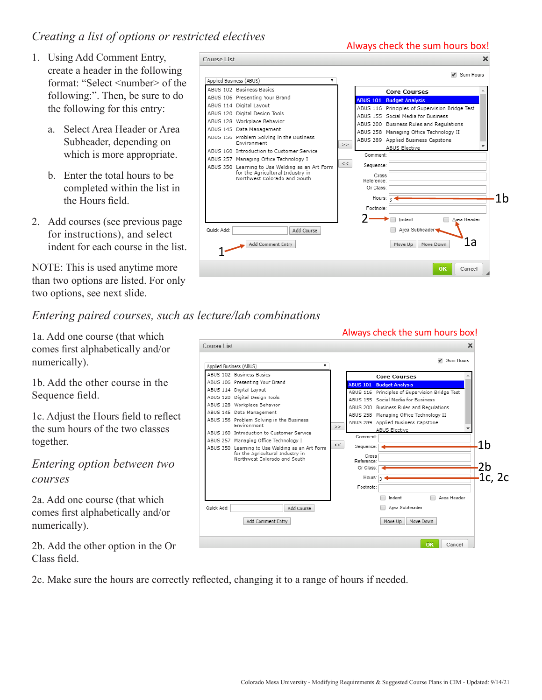#### *Creating a list of options or restricted electives*

- 1. Using Add Comment Entry, create a header in the following format: "Select <number> of the following:". Then, be sure to do the following for this entry:
	- a. Select Area Header or Area Subheader, depending on which is more appropriate.
	- b. Enter the total hours to be completed within the list in the Hours field.
- 2. Add courses (see previous page for instructions), and select indent for each course in the list.

NOTE: This is used anytime more than two options are listed. For only two options, see next slide.

*Entering paired courses, such as lecture/lab combinations*

1a. Add one course (that which comes first alphabetically and/or numerically).

1b. Add the other course in the Sequence field.

1c. Adjust the Hours field to reflect the sum hours of the two classes together.

*Entering option between two courses*

2a. Add one course (that which comes first alphabetically and/or numerically).

2b. Add the other option in the Or Class field.

2c. Make sure the hours are correctly reflected, changing it to a range of hours if needed.



#### Always check the sum hours box!Course List ✔ Sum Hours Applied Business (ABUS) ABUS 102 Business Basics **Core Courses** ABUS 106 Presenting Your Brand BUS 101 Budget Analysis ABUS 114 Digital Layout ABUS 116 Principles of Supervision Bridge Test ABUS 120 Digital Design Tools ABUS 155 Social Media for Business ABUS 128 Workplace Behavior ABUS 200 Business Rules and Regulations ABUS 145 Data Management ABUS 258 Managing Office Technology II ABUS 156 Problem Solving in the Business ABUS 289 Applied Business Capstone Environment  $\rightarrow$ **ABUS Elective** ABUS 160 Introduction to Customer Service Comment: ABUS 257 Managing Office Technology I 1b  $<<$ ABUS 350 Learning to Use Welding as an Art Form<br>for the Agricultural Industry in<br>Northwest Colorado and South Sequence: Cross Reference 2b Or Class: Hours: 1c, 2c  $\overline{3}$ Footnote: Area Header ndent Quick Add: Area Subheader Add Course Add Comment Entry Move Up Move Down OK Cancel

Always check the sum hours box!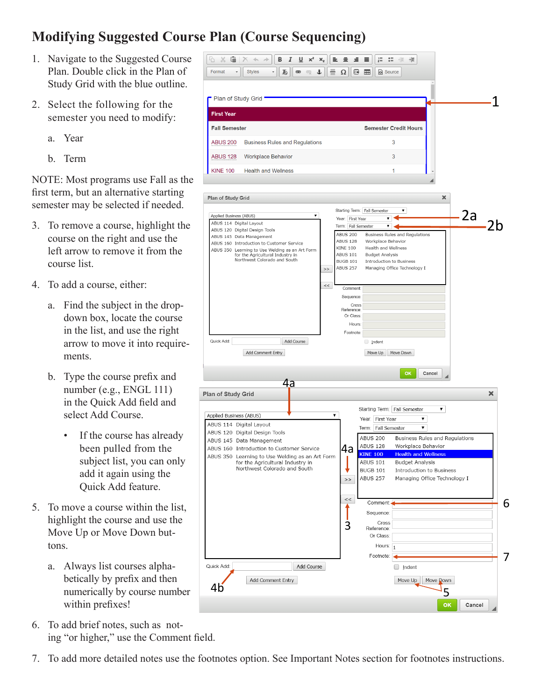## **Modifying Suggested Course Plan (Course Sequencing)**

- 1. Navigate to the Suggested Course Plan. Double click in the Plan of Study Grid with the blue outline.
- 2. Select the following for the semester you need to modify:
	- a. Year
	- b. Term

NOTE: Most programs use Fall as the first term, but an alternative starting semester may be selected if needed.

- 3. To remove a course, highlight the course on the right and use the left arrow to remove it from the course list.
- 4. To add a course, either:
	- a. Find the subject in the dropdown box, locate the course in the list, and use the right arrow to move it into requirements.
	- b. Type the course prefix and number (e.g., ENGL 111) in the Quick Add field and select Add Course.
		- If the course has already been pulled from the subject list, you can only add it again using the Quick Add feature.
- 5. To move a course within the list, highlight the course and use the Move Up or Move Down buttons.
	- a. Always list courses alphabetically by prefix and then numerically by course number within prefixes!
- 6. To add brief notes, such as noting "or higher," use the Comment field.